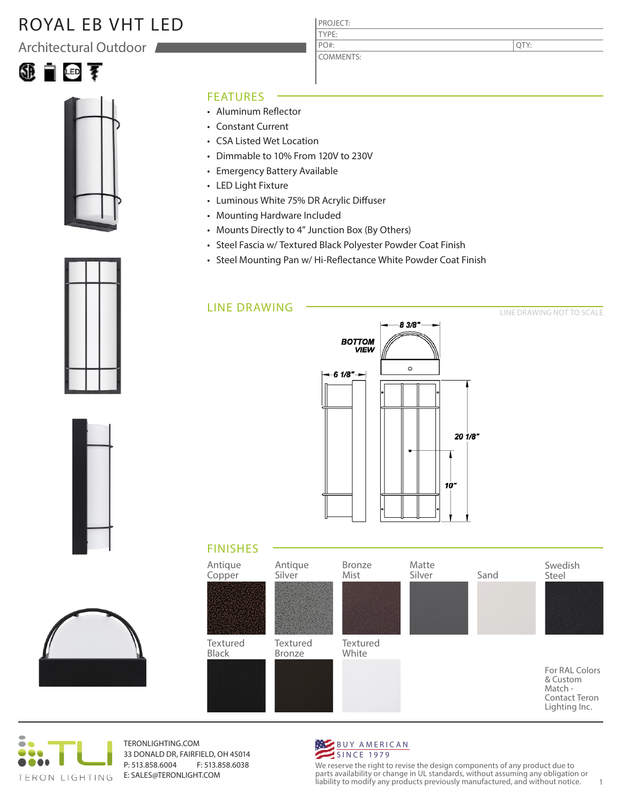# ROYAL EB VHT LED

Architectural Outdoor





### FEATURES

- Aluminum Reflector
- Constant Current
- CSA Listed Wet Location
- Dimmable to 10% From 120V to 230V
- Emergency Battery Available
- LED Light Fixture
- Luminous White 75% DR Acrylic Diffuser
- Mounting Hardware Included
- Mounts Directly to 4" Junction Box (By Others)
- Steel Fascia w/ Textured Black Polyester Powder Coat Finish

PROJECT: TYPE:

PO#:

COMMENTS:

• Steel Mounting Pan w/ Hi-Reflectance White Powder Coat Finish

### LINE DRAWING



### FINISHES





TERONLIGHTING.COM 33 DONALD DR, FAIRFIELD, OH 45014 P: 513.858.6004 F: 513.858.6038 E: SALES@TERONLIGHT.COM

#### BUY AMERICAN SINCE 1979

We reserve the right to revise the design components of any product due to parts availability or change in UL standards, without assuming any obligation or liability to modify any products previously manufactured, and without notice. 1







QTY:

LINE DRAWING NOT TO SCALE